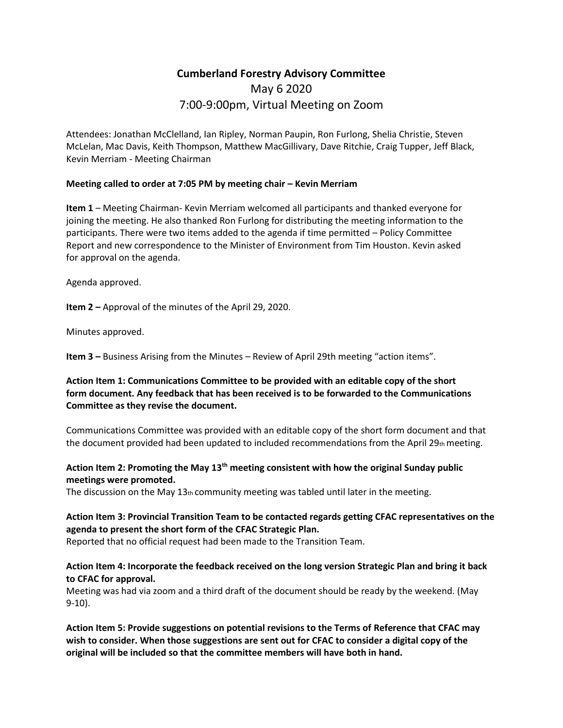# **Cumberland Forestry Advisory Committee** May 6 2020 7:00-9:00pm, Virtual Meeting on Zoom

Attendees: Jonathan McClelland, Ian Ripley, Norman Paupin, Ron Furlong, Shelia Christie, Steven McLelan, Mac Davis, Keith Thompson, Matthew MacGillivary, Dave Ritchie, Craig Tupper, Jeff Black, Kevin Merriam - Meeting Chairman

#### **Meeting called to order at 7:05 PM by meeting chair – Kevin Merriam**

**Item 1** – Meeting Chairman- Kevin Merriam welcomed all participants and thanked everyone for joining the meeting. He also thanked Ron Furlong for distributing the meeting information to the participants. There were two items added to the agenda if time permitted – Policy Committee Report and new correspondence to the Minister of Environment from Tim Houston. Kevin asked for approval on the agenda.

Agenda approved.

**Item 2 –** Approval of the minutes of the April 29, 2020.

Minutes approved.

**Item 3 –** Business Arising from the Minutes – Review of April 29th meeting "action items".

# **Action Item 1: Communications Committee to be provided with an editable copy of the short form document. Any feedback that has been received is to be forwarded to the Communications Committee as they revise the document.**

Communications Committee was provided with an editable copy of the short form document and that the document provided had been updated to included recommendations from the April 29 $<sub>th</sub>$  meeting.</sub>

# **Action Item 2: Promoting the May 13th meeting consistent with how the original Sunday public meetings were promoted.**

The discussion on the May  $13<sub>th</sub>$  community meeting was tabled until later in the meeting.

# **Action Item 3: Provincial Transition Team to be contacted regards getting CFAC representatives on the agenda to present the short form of the CFAC Strategic Plan.**

Reported that no official request had been made to the Transition Team.

# **Action Item 4: Incorporate the feedback received on the long version Strategic Plan and bring it back to CFAC for approval.**

Meeting was had via zoom and a third draft of the document should be ready by the weekend. (May 9-10).

**Action Item 5: Provide suggestions on potential revisions to the Terms of Reference that CFAC may wish to consider. When those suggestions are sent out for CFAC to consider a digital copy of the original will be included so that the committee members will have both in hand.**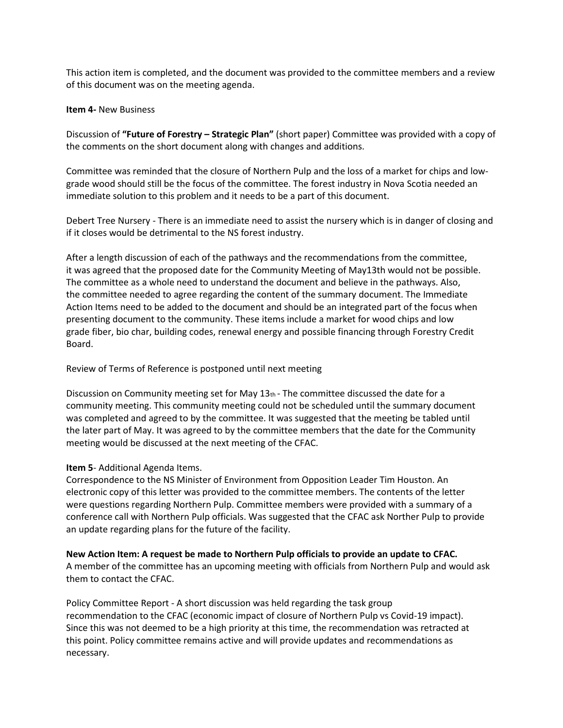This action item is completed, and the document was provided to the committee members and a review of this document was on the meeting agenda.

#### **Item 4-** New Business

Discussion of **"Future of Forestry – Strategic Plan"** (short paper) Committee was provided with a copy of the comments on the short document along with changes and additions.

Committee was reminded that the closure of Northern Pulp and the loss of a market for chips and lowgrade wood should still be the focus of the committee. The forest industry in Nova Scotia needed an immediate solution to this problem and it needs to be a part of this document.

Debert Tree Nursery - There is an immediate need to assist the nursery which is in danger of closing and if it closes would be detrimental to the NS forest industry.

After a length discussion of each of the pathways and the recommendations from the committee, it was agreed that the proposed date for the Community Meeting of May13th would not be possible. The committee as a whole need to understand the document and believe in the pathways. Also, the committee needed to agree regarding the content of the summary document. The Immediate Action Items need to be added to the document and should be an integrated part of the focus when presenting document to the community. These items include a market for wood chips and low grade fiber, bio char, building codes, renewal energy and possible financing through Forestry Credit Board.

#### Review of Terms of Reference is postponed until next meeting

Discussion on Community meeting set for May  $13<sub>th</sub>$  - The committee discussed the date for a community meeting. This community meeting could not be scheduled until the summary document was completed and agreed to by the committee. It was suggested that the meeting be tabled until the later part of May. It was agreed to by the committee members that the date for the Community meeting would be discussed at the next meeting of the CFAC.

#### **Item 5**- Additional Agenda Items.

Correspondence to the NS Minister of Environment from Opposition Leader Tim Houston. An electronic copy of this letter was provided to the committee members. The contents of the letter were questions regarding Northern Pulp. Committee members were provided with a summary of a conference call with Northern Pulp officials. Was suggested that the CFAC ask Norther Pulp to provide an update regarding plans for the future of the facility.

# **New Action Item: A request be made to Northern Pulp officials to provide an update to CFAC.**

A member of the committee has an upcoming meeting with officials from Northern Pulp and would ask them to contact the CFAC.

Policy Committee Report - A short discussion was held regarding the task group recommendation to the CFAC (economic impact of closure of Northern Pulp vs Covid-19 impact). Since this was not deemed to be a high priority at this time, the recommendation was retracted at this point. Policy committee remains active and will provide updates and recommendations as necessary.